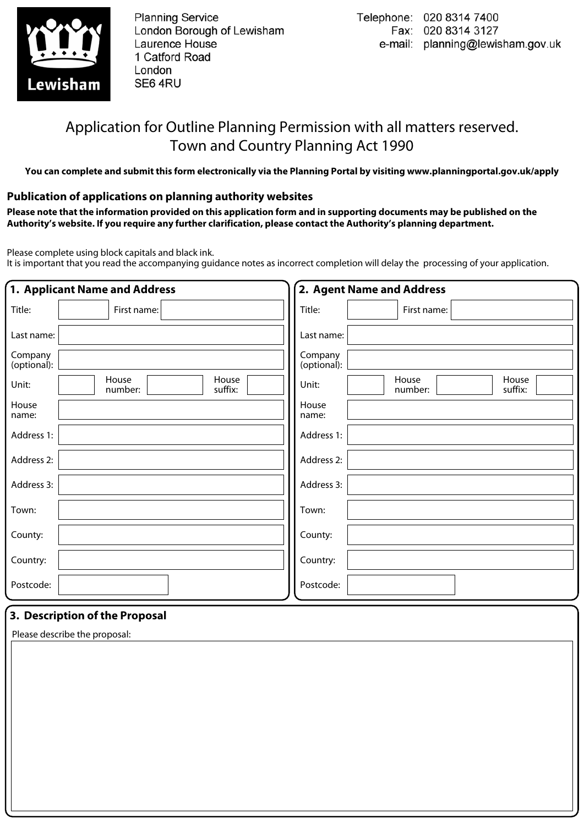

**Planning Service** London Borough of Lewisham Laurence House 1 Catford Road London SE64RU

# Application for Outline Planning Permission with all matters reserved. Town and Country Planning Act 1990

**You can complete and submit this form electronically via the Planning Portal by visiting www.planningportal.gov.uk/apply**

## **Publication of applications on planning authority websites**

**Please note that the information provided on this application form and in supporting documents may be published on the Authority's website. If you require any further clarification, please contact the Authority's planning department.**

Please complete using block capitals and black ink.

It is important that you read the accompanying guidance notes as incorrect completion will delay the processing of your application.

| 1. Applicant Name and Address        |                        | 2. Agent Name and Address            |  |  |  |  |  |
|--------------------------------------|------------------------|--------------------------------------|--|--|--|--|--|
| Title:<br>First name:                | Title:                 | First name:                          |  |  |  |  |  |
| Last name:                           | Last name:             |                                      |  |  |  |  |  |
| Company<br>(optional):               | Company<br>(optional): |                                      |  |  |  |  |  |
| House<br>Unit:<br>number:<br>suffix: | House<br>Unit:         | House<br>House<br>suffix:<br>number: |  |  |  |  |  |
| House<br>name:                       | House<br>name:         |                                      |  |  |  |  |  |
| Address 1:                           | Address 1:             |                                      |  |  |  |  |  |
| Address 2:                           | Address 2:             |                                      |  |  |  |  |  |
| Address 3:                           | Address 3:             |                                      |  |  |  |  |  |
| Town:                                | Town:                  |                                      |  |  |  |  |  |
| County:                              | County:                |                                      |  |  |  |  |  |
| Country:                             | Country:               |                                      |  |  |  |  |  |
| Postcode:                            | Postcode:              |                                      |  |  |  |  |  |

## **3. Description of the Proposal**

Please describe the proposal: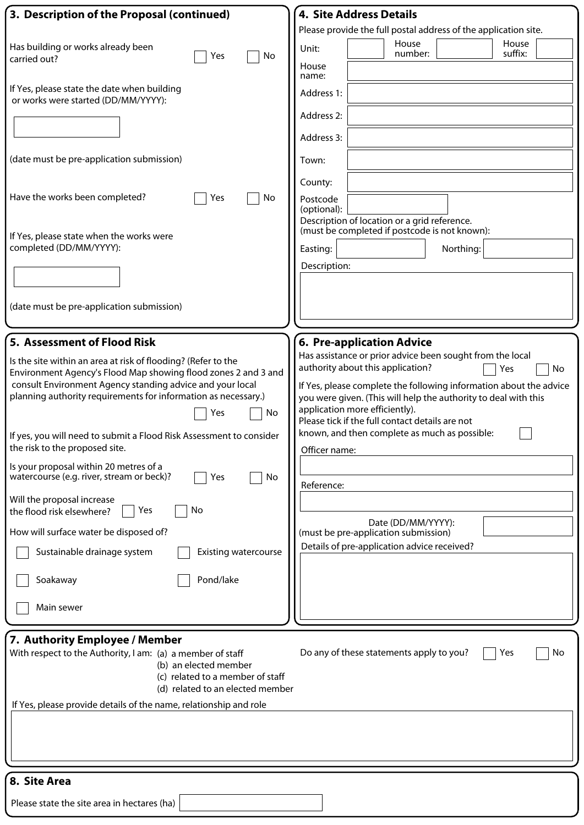| 3. Description of the Proposal (continued)                                                                                                                                                                                                                                                                                                                                                                                                                                                                                                                                                                                                                                                                                                        | <b>4. Site Address Details</b>                                                                                                                                                                                                                                                                                                                                                                                                                                                                                                         |
|---------------------------------------------------------------------------------------------------------------------------------------------------------------------------------------------------------------------------------------------------------------------------------------------------------------------------------------------------------------------------------------------------------------------------------------------------------------------------------------------------------------------------------------------------------------------------------------------------------------------------------------------------------------------------------------------------------------------------------------------------|----------------------------------------------------------------------------------------------------------------------------------------------------------------------------------------------------------------------------------------------------------------------------------------------------------------------------------------------------------------------------------------------------------------------------------------------------------------------------------------------------------------------------------------|
|                                                                                                                                                                                                                                                                                                                                                                                                                                                                                                                                                                                                                                                                                                                                                   | Please provide the full postal address of the application site.                                                                                                                                                                                                                                                                                                                                                                                                                                                                        |
| Has building or works already been<br>No<br>Yes<br>carried out?                                                                                                                                                                                                                                                                                                                                                                                                                                                                                                                                                                                                                                                                                   | House<br>House<br>Unit:<br>number:<br>suffix:                                                                                                                                                                                                                                                                                                                                                                                                                                                                                          |
| If Yes, please state the date when building<br>or works were started (DD/MM/YYYY):<br>(date must be pre-application submission)<br>Have the works been completed?<br>No<br>Yes<br>If Yes, please state when the works were<br>completed (DD/MM/YYYY):                                                                                                                                                                                                                                                                                                                                                                                                                                                                                             | House<br>name:<br>Address 1:<br>Address 2:<br>Address 3:<br>Town:<br>County:<br>Postcode<br>(optional):<br>Description of location or a grid reference.<br>(must be completed if postcode is not known):<br>Northing:<br>Easting:                                                                                                                                                                                                                                                                                                      |
|                                                                                                                                                                                                                                                                                                                                                                                                                                                                                                                                                                                                                                                                                                                                                   | Description:                                                                                                                                                                                                                                                                                                                                                                                                                                                                                                                           |
| (date must be pre-application submission)                                                                                                                                                                                                                                                                                                                                                                                                                                                                                                                                                                                                                                                                                                         |                                                                                                                                                                                                                                                                                                                                                                                                                                                                                                                                        |
| 5. Assessment of Flood Risk                                                                                                                                                                                                                                                                                                                                                                                                                                                                                                                                                                                                                                                                                                                       | 6. Pre-application Advice                                                                                                                                                                                                                                                                                                                                                                                                                                                                                                              |
| Is the site within an area at risk of flooding? (Refer to the<br>Environment Agency's Flood Map showing flood zones 2 and 3 and<br>consult Environment Agency standing advice and your local<br>planning authority requirements for information as necessary.)<br>No<br>Yes<br>If yes, you will need to submit a Flood Risk Assessment to consider<br>the risk to the proposed site.<br>Is your proposal within 20 metres of a<br>watercourse (e.g. river, stream or beck)?<br>No<br>Yes<br>Will the proposal increase<br>No<br>Yes<br>the flood risk elsewhere?<br>How will surface water be disposed of?<br>Sustainable drainage system<br><b>Existing watercourse</b><br>Pond/lake<br>Soakaway<br>Main sewer<br>7. Authority Employee / Member | Has assistance or prior advice been sought from the local<br>authority about this application?<br>Yes<br>No<br>If Yes, please complete the following information about the advice<br>you were given. (This will help the authority to deal with this<br>application more efficiently).<br>Please tick if the full contact details are not<br>known, and then complete as much as possible:<br>Officer name:<br>Reference:<br>Date (DD/MM/YYYY):<br>(must be pre-application submission)<br>Details of pre-application advice received? |
| With respect to the Authority, I am: (a) a member of staff<br>(b) an elected member<br>(c) related to a member of staff<br>(d) related to an elected member<br>If Yes, please provide details of the name, relationship and role                                                                                                                                                                                                                                                                                                                                                                                                                                                                                                                  | Do any of these statements apply to you?<br>No<br>Yes                                                                                                                                                                                                                                                                                                                                                                                                                                                                                  |
|                                                                                                                                                                                                                                                                                                                                                                                                                                                                                                                                                                                                                                                                                                                                                   |                                                                                                                                                                                                                                                                                                                                                                                                                                                                                                                                        |
| 8. Site Area                                                                                                                                                                                                                                                                                                                                                                                                                                                                                                                                                                                                                                                                                                                                      |                                                                                                                                                                                                                                                                                                                                                                                                                                                                                                                                        |
| Please state the site area in hectares (ha)                                                                                                                                                                                                                                                                                                                                                                                                                                                                                                                                                                                                                                                                                                       |                                                                                                                                                                                                                                                                                                                                                                                                                                                                                                                                        |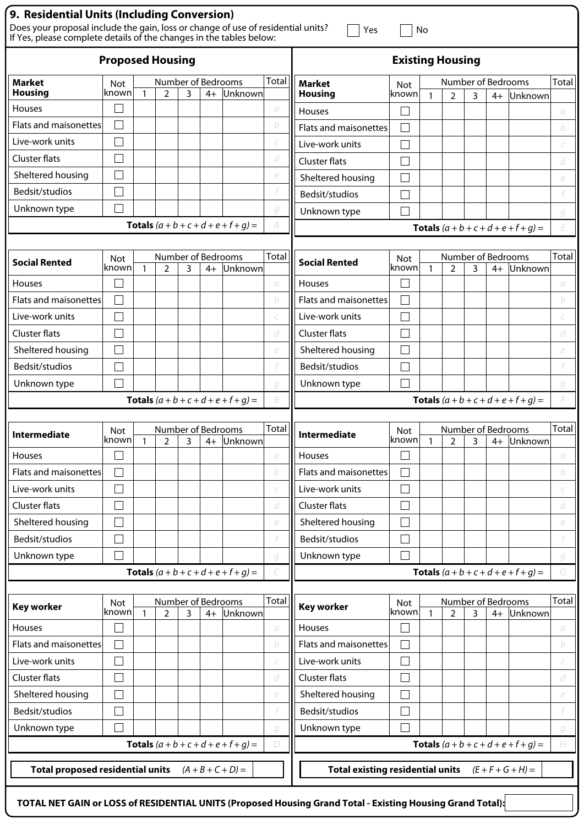| 9. Residential Units (Including Conversion)                                                                                                             |                     |              |                                      |   |                         |                                               |               |                                         |                      |                                               |                                      |   |      |                                               |       |
|---------------------------------------------------------------------------------------------------------------------------------------------------------|---------------------|--------------|--------------------------------------|---|-------------------------|-----------------------------------------------|---------------|-----------------------------------------|----------------------|-----------------------------------------------|--------------------------------------|---|------|-----------------------------------------------|-------|
| Does your proposal include the gain, loss or change of use of residential units?<br>If Yes, please complete details of the changes in the tables below: |                     |              |                                      |   |                         |                                               |               | Yes                                     |                      | No                                            |                                      |   |      |                                               |       |
| <b>Proposed Housing</b>                                                                                                                                 |                     |              |                                      |   | <b>Existing Housing</b> |                                               |               |                                         |                      |                                               |                                      |   |      |                                               |       |
| <b>Market</b>                                                                                                                                           | <b>Not</b>          |              | Number of Bedrooms                   |   |                         |                                               | Total         | <b>Market</b>                           | Not                  |                                               | Number of Bedrooms                   |   |      |                                               | Total |
| <b>Housing</b>                                                                                                                                          | known               |              | $\overline{2}$                       | 3 | $4+$                    | Unknown                                       |               | <b>Housing</b>                          | known                | $\mathbf{1}$                                  | $\overline{2}$                       | 3 | $4+$ | Unknown                                       |       |
| <b>Houses</b>                                                                                                                                           | I.                  |              |                                      |   |                         |                                               | а             | <b>Houses</b>                           |                      |                                               |                                      |   |      |                                               | a     |
| Flats and maisonettes                                                                                                                                   |                     |              |                                      |   |                         |                                               | b             | Flats and maisonettes                   |                      |                                               |                                      |   |      |                                               | b     |
| Live-work units                                                                                                                                         |                     |              |                                      |   |                         |                                               |               | Live-work units                         |                      |                                               |                                      |   |      |                                               |       |
| Cluster flats                                                                                                                                           | I.                  |              |                                      |   |                         |                                               | d             | <b>Cluster flats</b>                    | $\mathcal{L}$        |                                               |                                      |   |      |                                               | d     |
| Sheltered housing                                                                                                                                       |                     |              |                                      |   |                         |                                               | e             | Sheltered housing                       |                      |                                               |                                      |   |      |                                               | e     |
| Bedsit/studios                                                                                                                                          |                     |              |                                      |   |                         |                                               |               | Bedsit/studios                          |                      |                                               |                                      |   |      |                                               |       |
| Unknown type                                                                                                                                            | Г                   |              |                                      |   |                         |                                               | g             | Unknown type                            |                      |                                               |                                      |   |      |                                               | g     |
|                                                                                                                                                         |                     |              |                                      |   |                         | <b>Totals</b> $(a + b + c + d + e + f + q) =$ |               |                                         |                      |                                               |                                      |   |      | <b>Totals</b> $(a + b + c + d + e + f + g) =$ | F     |
| <b>Social Rented</b>                                                                                                                                    | <b>Not</b><br>known | $\mathbf{1}$ | Number of Bedrooms<br>$\overline{2}$ | 3 | $4+$                    | Unknown                                       | Total         | <b>Social Rented</b>                    | Not<br><b>c</b> nown | $\mathbf{1}$                                  | Number of Bedrooms<br>$\overline{2}$ | 3 | $4+$ | Unknown                                       | Total |
| <b>Houses</b>                                                                                                                                           |                     |              |                                      |   |                         |                                               | a             | <b>Houses</b>                           |                      |                                               |                                      |   |      |                                               | a     |
| Flats and maisonettes                                                                                                                                   | $\Box$              |              |                                      |   |                         |                                               | b             | Flats and maisonettes                   |                      |                                               |                                      |   |      |                                               | b     |
| Live-work units                                                                                                                                         |                     |              |                                      |   |                         |                                               |               | Live-work units                         |                      |                                               |                                      |   |      |                                               |       |
| Cluster flats                                                                                                                                           |                     |              |                                      |   |                         |                                               | d             | Cluster flats                           |                      |                                               |                                      |   |      |                                               | d     |
| Sheltered housing                                                                                                                                       |                     |              |                                      |   |                         |                                               | e             | Sheltered housing                       |                      |                                               |                                      |   |      |                                               | e     |
| Bedsit/studios                                                                                                                                          | Г                   |              |                                      |   |                         |                                               |               | Bedsit/studios                          | $\blacksquare$       |                                               |                                      |   |      |                                               |       |
| Unknown type                                                                                                                                            |                     |              |                                      |   |                         |                                               | q             | Unknown type                            |                      |                                               |                                      |   |      |                                               | g     |
| B<br><b>Totals</b> $(a + b + c + d + e + f + g) =$                                                                                                      |                     |              |                                      |   |                         |                                               |               |                                         |                      | <b>Totals</b> $(a + b + c + d + e + f + q) =$ | F                                    |   |      |                                               |       |
|                                                                                                                                                         |                     |              |                                      |   |                         |                                               |               |                                         |                      |                                               |                                      |   |      |                                               |       |
| <b>Intermediate</b>                                                                                                                                     | <b>Not</b>          |              | Number of Bedrooms                   |   |                         |                                               | Total         | <b>Intermediate</b>                     | <b>Not</b>           |                                               | Number of Bedrooms                   |   |      |                                               | Total |
|                                                                                                                                                         | known               | -1           | $\mathcal{D}$                        | ς |                         | 4+ Unknown                                    |               |                                         | knownl               | $\mathbf{1}$                                  | $\mathcal{D}$                        | 3 |      | 4+ Unknown                                    |       |
| Houses                                                                                                                                                  |                     |              |                                      |   |                         |                                               | $\sigma$      | Houses                                  |                      |                                               |                                      |   |      |                                               | a     |
| Flats and maisonettes                                                                                                                                   | $\Box$              |              |                                      |   |                         |                                               | b             | Flats and maisonettes                   | $\blacksquare$       |                                               |                                      |   |      |                                               | b     |
| Live-work units                                                                                                                                         |                     |              |                                      |   |                         |                                               | C             | Live-work units                         |                      |                                               |                                      |   |      |                                               | C     |
| Cluster flats                                                                                                                                           |                     |              |                                      |   |                         |                                               | d             | <b>Cluster flats</b>                    |                      |                                               |                                      |   |      |                                               | d     |
| Sheltered housing                                                                                                                                       |                     |              |                                      |   |                         |                                               | e             | Sheltered housing                       |                      |                                               |                                      |   |      |                                               | e     |
| Bedsit/studios                                                                                                                                          | $\Box$              |              |                                      |   |                         |                                               |               | Bedsit/studios                          |                      |                                               |                                      |   |      |                                               |       |
| Unknown type                                                                                                                                            |                     |              |                                      |   |                         |                                               | q             | Unknown type                            |                      |                                               |                                      |   |      |                                               | g     |
|                                                                                                                                                         |                     |              |                                      |   |                         | <b>Totals</b> $(a + b + c + d + e + f + g) =$ |               |                                         |                      |                                               |                                      |   |      | <b>Totals</b> $(a + b + c + d + e + f + g) =$ | G     |
| <b>Key worker</b>                                                                                                                                       | Not<br>known        | $\mathbf{1}$ | Number of Bedrooms<br>$\overline{2}$ | 3 | $4+$                    | Unknown                                       | Total         | <b>Key worker</b>                       | Not<br>known         | $\mathbf{1}$                                  | Number of Bedrooms<br>$\overline{2}$ | 3 | $4+$ | Unknown                                       | Total |
| Houses                                                                                                                                                  |                     |              |                                      |   |                         |                                               | $\mathcal{C}$ | Houses                                  |                      |                                               |                                      |   |      |                                               | a     |
| Flats and maisonettes                                                                                                                                   | Г                   |              |                                      |   |                         |                                               | b             | Flats and maisonettes                   |                      |                                               |                                      |   |      |                                               | b     |
| Live-work units                                                                                                                                         | $\Box$              |              |                                      |   |                         |                                               | C             | Live-work units                         |                      |                                               |                                      |   |      |                                               | C     |
| <b>Cluster flats</b>                                                                                                                                    |                     |              |                                      |   |                         |                                               | d             | <b>Cluster flats</b>                    |                      |                                               |                                      |   |      |                                               | d     |
| Sheltered housing                                                                                                                                       |                     |              |                                      |   |                         |                                               | e             | Sheltered housing                       |                      |                                               |                                      |   |      |                                               | e     |
| Bedsit/studios                                                                                                                                          | Г                   |              |                                      |   |                         |                                               |               | Bedsit/studios                          |                      |                                               |                                      |   |      |                                               |       |
| Unknown type                                                                                                                                            |                     |              |                                      |   |                         |                                               | q             | Unknown type                            |                      |                                               |                                      |   |      |                                               | g     |
|                                                                                                                                                         |                     |              |                                      |   |                         | <b>Totals</b> $(a + b + c + d + e + f + g) =$ | D             |                                         |                      |                                               |                                      |   |      | <b>Totals</b> $(a + b + c + d + e + f + g) =$ | H     |
| <b>Total proposed residential units</b>                                                                                                                 |                     |              |                                      |   |                         | $(A + B + C + D) =$                           |               | <b>Total existing residential units</b> |                      |                                               |                                      |   |      | $(E + F + G + H) =$                           |       |
|                                                                                                                                                         |                     |              |                                      |   |                         |                                               |               |                                         |                      |                                               |                                      |   |      |                                               |       |

**TOTAL NET GAIN or LOSS of RESIDENTIAL UNITS (Proposed Housing Grand Total - Existing Housing Grand Total):**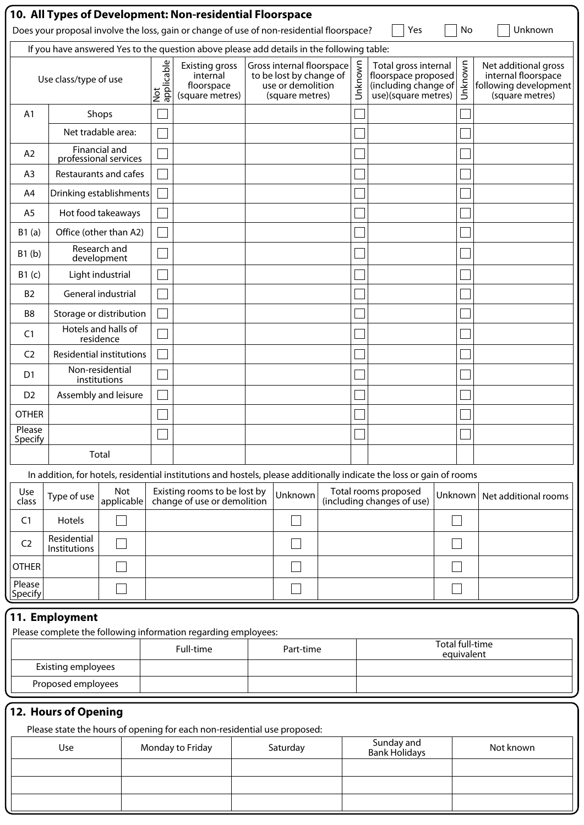|                                                                                           |                                                                                          |                                 |  |                   | 10. All Types of Development: Non-residential Floorspace<br>Does your proposal involve the loss, gain or change of use of non-residential floorspace? |  |                                                                                              |         | Yes                                                                                                                   |         | No      | Unknown                                                                                 |
|-------------------------------------------------------------------------------------------|------------------------------------------------------------------------------------------|---------------------------------|--|-------------------|-------------------------------------------------------------------------------------------------------------------------------------------------------|--|----------------------------------------------------------------------------------------------|---------|-----------------------------------------------------------------------------------------------------------------------|---------|---------|-----------------------------------------------------------------------------------------|
| If you have answered Yes to the question above please add details in the following table: |                                                                                          |                                 |  |                   |                                                                                                                                                       |  |                                                                                              |         |                                                                                                                       |         |         |                                                                                         |
|                                                                                           | Use class/type of use                                                                    |                                 |  | Not<br>applicable | <b>Existing gross</b><br>internal<br>floorspace<br>(square metres)                                                                                    |  | Gross internal floorspace<br>to be lost by change of<br>use or demolition<br>(square metres) | Unknown | Total gross internal<br>floorspace proposed<br>(including change of<br>use)(square metres)                            |         | Unknown | Net additional gross<br>internal floorspace<br>following development<br>(square metres) |
| A1                                                                                        |                                                                                          | Shops                           |  |                   |                                                                                                                                                       |  |                                                                                              |         |                                                                                                                       |         |         |                                                                                         |
|                                                                                           | Net tradable area:                                                                       |                                 |  |                   |                                                                                                                                                       |  |                                                                                              |         |                                                                                                                       |         |         |                                                                                         |
| A2                                                                                        | professional services                                                                    | Financial and                   |  |                   |                                                                                                                                                       |  |                                                                                              |         |                                                                                                                       |         |         |                                                                                         |
| A <sub>3</sub>                                                                            | Restaurants and cafes                                                                    |                                 |  |                   |                                                                                                                                                       |  |                                                                                              |         |                                                                                                                       |         |         |                                                                                         |
| A4                                                                                        | Drinking establishments                                                                  |                                 |  |                   |                                                                                                                                                       |  |                                                                                              |         |                                                                                                                       |         |         |                                                                                         |
| A <sub>5</sub>                                                                            | Hot food takeaways                                                                       |                                 |  |                   |                                                                                                                                                       |  |                                                                                              |         |                                                                                                                       |         |         |                                                                                         |
| B1(a)                                                                                     | Office (other than A2)                                                                   |                                 |  |                   |                                                                                                                                                       |  |                                                                                              |         |                                                                                                                       |         |         |                                                                                         |
| B1(b)                                                                                     |                                                                                          | Research and<br>development     |  |                   |                                                                                                                                                       |  |                                                                                              |         |                                                                                                                       |         |         |                                                                                         |
| B1(c)                                                                                     |                                                                                          | Light industrial                |  |                   |                                                                                                                                                       |  |                                                                                              |         |                                                                                                                       |         |         |                                                                                         |
| B <sub>2</sub>                                                                            | General industrial                                                                       |                                 |  |                   |                                                                                                                                                       |  |                                                                                              |         |                                                                                                                       |         |         |                                                                                         |
| B8                                                                                        | Storage or distribution                                                                  |                                 |  |                   |                                                                                                                                                       |  |                                                                                              |         |                                                                                                                       |         |         |                                                                                         |
| C1                                                                                        | Hotels and halls of                                                                      | residence                       |  |                   |                                                                                                                                                       |  |                                                                                              |         |                                                                                                                       |         |         |                                                                                         |
| C <sub>2</sub>                                                                            | <b>Residential institutions</b>                                                          |                                 |  |                   |                                                                                                                                                       |  |                                                                                              |         |                                                                                                                       |         |         |                                                                                         |
| D <sub>1</sub>                                                                            |                                                                                          | Non-residential<br>institutions |  |                   |                                                                                                                                                       |  |                                                                                              |         |                                                                                                                       |         |         |                                                                                         |
| D <sub>2</sub>                                                                            | Assembly and leisure                                                                     |                                 |  |                   |                                                                                                                                                       |  |                                                                                              |         |                                                                                                                       |         |         |                                                                                         |
| <b>OTHER</b>                                                                              |                                                                                          |                                 |  |                   |                                                                                                                                                       |  |                                                                                              |         |                                                                                                                       |         |         |                                                                                         |
| Please<br>Specify                                                                         |                                                                                          |                                 |  |                   |                                                                                                                                                       |  |                                                                                              |         |                                                                                                                       |         |         |                                                                                         |
|                                                                                           |                                                                                          | Total                           |  |                   |                                                                                                                                                       |  |                                                                                              |         |                                                                                                                       |         |         |                                                                                         |
|                                                                                           |                                                                                          |                                 |  |                   |                                                                                                                                                       |  |                                                                                              |         | In addition, for hotels, residential institutions and hostels, please additionally indicate the loss or gain of rooms |         |         |                                                                                         |
| Use<br>class                                                                              | Type of use                                                                              | <b>Not</b><br>applicable        |  |                   | Existing rooms to be lost by<br>change of use or demolition                                                                                           |  | Unknown                                                                                      |         | Total rooms proposed<br>(including changes of use)                                                                    | Unknown |         | Net additional rooms                                                                    |
| C <sub>1</sub>                                                                            | Hotels                                                                                   |                                 |  |                   |                                                                                                                                                       |  |                                                                                              |         |                                                                                                                       |         |         |                                                                                         |
| C <sub>2</sub>                                                                            | Residential<br><b>Institutions</b>                                                       |                                 |  |                   |                                                                                                                                                       |  |                                                                                              |         |                                                                                                                       |         |         |                                                                                         |
| <b>OTHER</b>                                                                              |                                                                                          |                                 |  |                   |                                                                                                                                                       |  |                                                                                              |         |                                                                                                                       |         |         |                                                                                         |
| Please<br>Specify                                                                         |                                                                                          |                                 |  |                   |                                                                                                                                                       |  |                                                                                              |         |                                                                                                                       |         |         |                                                                                         |
|                                                                                           | 11. Employment                                                                           |                                 |  |                   |                                                                                                                                                       |  |                                                                                              |         |                                                                                                                       |         |         |                                                                                         |
|                                                                                           | Please complete the following information regarding employees:<br><b>Total full-time</b> |                                 |  |                   |                                                                                                                                                       |  |                                                                                              |         |                                                                                                                       |         |         |                                                                                         |
|                                                                                           | Full-time<br>Part-time<br>equivalent<br><b>Existing employees</b>                        |                                 |  |                   |                                                                                                                                                       |  |                                                                                              |         |                                                                                                                       |         |         |                                                                                         |
|                                                                                           | Proposed employees                                                                       |                                 |  |                   |                                                                                                                                                       |  |                                                                                              |         |                                                                                                                       |         |         |                                                                                         |
|                                                                                           | 12. Hours of Opening                                                                     |                                 |  |                   |                                                                                                                                                       |  |                                                                                              |         |                                                                                                                       |         |         |                                                                                         |
|                                                                                           |                                                                                          |                                 |  |                   | Please state the hours of opening for each non-residential use proposed:                                                                              |  |                                                                                              |         |                                                                                                                       |         |         |                                                                                         |
|                                                                                           | Use                                                                                      |                                 |  |                   | Monday to Friday                                                                                                                                      |  | Saturday                                                                                     |         | Sunday and<br><b>Bank Holidays</b>                                                                                    |         |         | Not known                                                                               |
|                                                                                           |                                                                                          |                                 |  |                   |                                                                                                                                                       |  |                                                                                              |         |                                                                                                                       |         |         |                                                                                         |
|                                                                                           |                                                                                          |                                 |  |                   |                                                                                                                                                       |  |                                                                                              |         |                                                                                                                       |         |         |                                                                                         |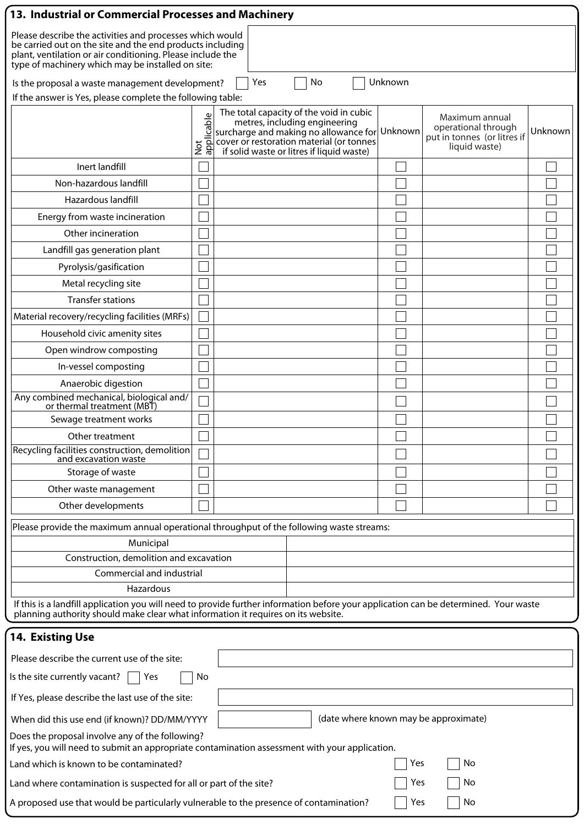| 13. Industrial or Commercial Processes and Machinery                                                                                                                                                                                     |                                           |                                                                                                                                                                                                                            |         |                                                                                       |         |  |  |  |
|------------------------------------------------------------------------------------------------------------------------------------------------------------------------------------------------------------------------------------------|-------------------------------------------|----------------------------------------------------------------------------------------------------------------------------------------------------------------------------------------------------------------------------|---------|---------------------------------------------------------------------------------------|---------|--|--|--|
| Please describe the activities and processes which would<br>be carried out on the site and the end products including<br>plant, ventilation or air conditioning. Please include the<br>type of machinery which may be installed on site: |                                           |                                                                                                                                                                                                                            |         |                                                                                       |         |  |  |  |
| Is the proposal a waste management development?                                                                                                                                                                                          |                                           | Yes<br>No                                                                                                                                                                                                                  | Unknown |                                                                                       |         |  |  |  |
| If the answer is Yes, please complete the following table:                                                                                                                                                                               |                                           |                                                                                                                                                                                                                            |         |                                                                                       |         |  |  |  |
|                                                                                                                                                                                                                                          | $\mathbb U$<br>Not<br>appli <u>cabl</u> e | The total capacity of the void in cubic<br>metres, including engineering<br>$ $ surcharge and making no allowance for $ $ Unknown<br>cover or restoration material (or tonnes<br>if solid waste or litres if liquid waste) |         | Maximum annual<br>operational through<br>put in tonnes (or litres if<br>liquid waste) | Unknown |  |  |  |
| Inert landfill                                                                                                                                                                                                                           |                                           |                                                                                                                                                                                                                            |         |                                                                                       |         |  |  |  |
| Non-hazardous landfill                                                                                                                                                                                                                   |                                           |                                                                                                                                                                                                                            |         |                                                                                       |         |  |  |  |
| Hazardous landfill                                                                                                                                                                                                                       |                                           |                                                                                                                                                                                                                            |         |                                                                                       |         |  |  |  |
| Energy from waste incineration                                                                                                                                                                                                           |                                           |                                                                                                                                                                                                                            |         |                                                                                       |         |  |  |  |
| Other incineration                                                                                                                                                                                                                       |                                           |                                                                                                                                                                                                                            |         |                                                                                       |         |  |  |  |
| Landfill gas generation plant                                                                                                                                                                                                            |                                           |                                                                                                                                                                                                                            |         |                                                                                       |         |  |  |  |
| Pyrolysis/gasification                                                                                                                                                                                                                   |                                           |                                                                                                                                                                                                                            |         |                                                                                       |         |  |  |  |
| Metal recycling site                                                                                                                                                                                                                     |                                           |                                                                                                                                                                                                                            |         |                                                                                       |         |  |  |  |
| <b>Transfer stations</b>                                                                                                                                                                                                                 |                                           |                                                                                                                                                                                                                            |         |                                                                                       |         |  |  |  |
| Material recovery/recycling facilities (MRFs)                                                                                                                                                                                            |                                           |                                                                                                                                                                                                                            |         |                                                                                       |         |  |  |  |
| Household civic amenity sites                                                                                                                                                                                                            |                                           |                                                                                                                                                                                                                            |         |                                                                                       |         |  |  |  |
| Open windrow composting                                                                                                                                                                                                                  |                                           |                                                                                                                                                                                                                            |         |                                                                                       |         |  |  |  |
| In-vessel composting                                                                                                                                                                                                                     |                                           |                                                                                                                                                                                                                            |         |                                                                                       |         |  |  |  |
| Anaerobic digestion                                                                                                                                                                                                                      |                                           |                                                                                                                                                                                                                            |         |                                                                                       |         |  |  |  |
| Any combined mechanical, biological and/<br>or thermal treatment (MBT)                                                                                                                                                                   |                                           |                                                                                                                                                                                                                            |         |                                                                                       |         |  |  |  |
| Sewage treatment works                                                                                                                                                                                                                   |                                           |                                                                                                                                                                                                                            |         |                                                                                       |         |  |  |  |
| Other treatment                                                                                                                                                                                                                          |                                           |                                                                                                                                                                                                                            |         |                                                                                       |         |  |  |  |
| Recycling facilities construction, demolition<br>and excavation waste                                                                                                                                                                    |                                           |                                                                                                                                                                                                                            |         |                                                                                       |         |  |  |  |
| Storage of waste                                                                                                                                                                                                                         |                                           |                                                                                                                                                                                                                            |         |                                                                                       |         |  |  |  |
| Other waste management                                                                                                                                                                                                                   |                                           |                                                                                                                                                                                                                            |         |                                                                                       |         |  |  |  |
| Other developments                                                                                                                                                                                                                       |                                           |                                                                                                                                                                                                                            |         |                                                                                       |         |  |  |  |
| Please provide the maximum annual operational throughput of the following waste streams:                                                                                                                                                 |                                           |                                                                                                                                                                                                                            |         |                                                                                       |         |  |  |  |
| Municipal                                                                                                                                                                                                                                |                                           |                                                                                                                                                                                                                            |         |                                                                                       |         |  |  |  |
| Construction, demolition and excavation                                                                                                                                                                                                  |                                           |                                                                                                                                                                                                                            |         |                                                                                       |         |  |  |  |
| Commercial and industrial                                                                                                                                                                                                                |                                           |                                                                                                                                                                                                                            |         |                                                                                       |         |  |  |  |
| Hazardous                                                                                                                                                                                                                                |                                           |                                                                                                                                                                                                                            |         |                                                                                       |         |  |  |  |
| If this is a landfill application you will need to provide further information before your application can be determined. Your waste<br>planning authority should make clear what information it requires on its website.                |                                           |                                                                                                                                                                                                                            |         |                                                                                       |         |  |  |  |
| <b>14. Existing Use</b>                                                                                                                                                                                                                  |                                           |                                                                                                                                                                                                                            |         |                                                                                       |         |  |  |  |
| Please describe the current use of the site:                                                                                                                                                                                             |                                           |                                                                                                                                                                                                                            |         |                                                                                       |         |  |  |  |
| Is the site currently vacant?<br>Yes                                                                                                                                                                                                     | No                                        |                                                                                                                                                                                                                            |         |                                                                                       |         |  |  |  |
| If Yes, please describe the last use of the site:                                                                                                                                                                                        |                                           |                                                                                                                                                                                                                            |         |                                                                                       |         |  |  |  |
| When did this use end (if known)? DD/MM/YYYY                                                                                                                                                                                             |                                           |                                                                                                                                                                                                                            |         | (date where known may be approximate)                                                 |         |  |  |  |
| Does the proposal involve any of the following?<br>If yes, you will need to submit an appropriate contamination assessment with your application.                                                                                        |                                           |                                                                                                                                                                                                                            |         |                                                                                       |         |  |  |  |
| Land which is known to be contaminated?                                                                                                                                                                                                  |                                           |                                                                                                                                                                                                                            | Yes     | No                                                                                    |         |  |  |  |
| Land where contamination is suspected for all or part of the site?                                                                                                                                                                       |                                           |                                                                                                                                                                                                                            | Yes     | No                                                                                    |         |  |  |  |
| A proposed use that would be particularly vulnerable to the presence of contamination?<br>No<br>Yes                                                                                                                                      |                                           |                                                                                                                                                                                                                            |         |                                                                                       |         |  |  |  |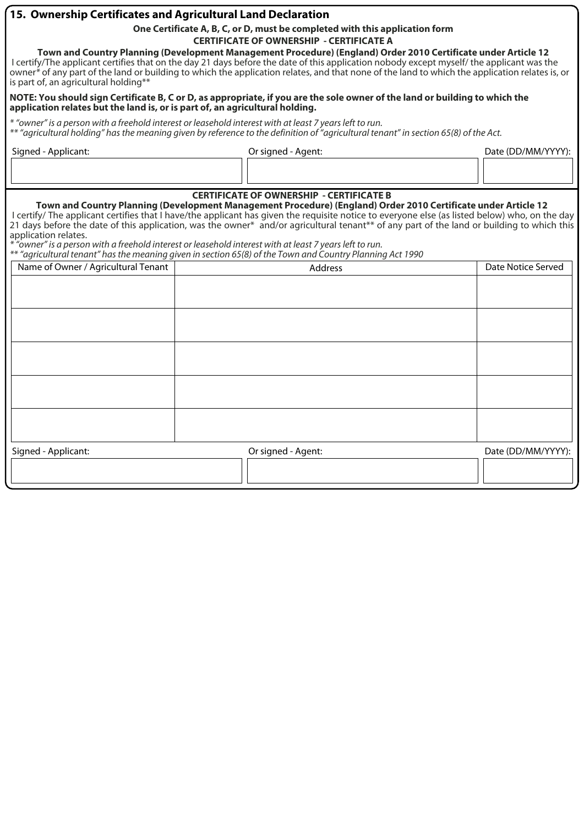### **15. Ownership Certificates and Agricultural Land Declaration**

**One Certificate A, B, C, or D, must be completed with this application form** 

**CERTIFICATE OF OWNERSHIP - CERTIFICATE A** 

**Town and Country Planning (Development Management Procedure) (England) Order 2010 Certificate under Article 12**  I certify/The applicant certifies that on the day 21 days before the date of this application nobody except myself/ the applicant was the owner*\** of any part of the land or building to which the application relates, and that none of the land to which the application relates is, or is part of, an agricultural holding\*\*

#### **NOTE: You should sign Certificate B, C or D, as appropriate, if you are the sole owner of the land or building to which the application relates but the land is, or is part of, an agricultural holding.**

*\* "owner" is a person with a freehold interest or leasehold interest with at least 7 years left to run. \*\* "agricultural holding" has the meaning given by reference to the definition of "agricultural tenant" in section 65(8) of the Act.*

| Signed - Applicant: | Or signed - Agent: | Date (DD/MM/YYYY): |
|---------------------|--------------------|--------------------|
|                     |                    |                    |

### **CERTIFICATE OF OWNERSHIP - CERTIFICATE B**

**Town and Country Planning (Development Management Procedure) (England) Order 2010 Certificate under Article 12**  I certify/ The applicant certifies that I have/the applicant has given the requisite notice to everyone else (as listed below) who, on the day 21 days before the date of this application, was the owner\* and/or agricultural tenant\*\* of any part of the land or building to which this application relates.

*\* "owner" is a person with a freehold interest or leasehold interest with at least 7 years left to run.* 

*\*\* "agricultural tenant" has the meaning given in section 65(8) of the Town and Country Planning Act 1990*

| $\tilde{\phantom{a}}$<br>$\overline{\phantom{a}}$<br>Name of Owner / Agricultural Tenant | Address            | Date Notice Served |
|------------------------------------------------------------------------------------------|--------------------|--------------------|
|                                                                                          |                    |                    |
|                                                                                          |                    |                    |
|                                                                                          |                    |                    |
|                                                                                          |                    |                    |
|                                                                                          |                    |                    |
|                                                                                          |                    |                    |
|                                                                                          |                    |                    |
|                                                                                          |                    |                    |
|                                                                                          |                    |                    |
|                                                                                          |                    |                    |
| Signed - Applicant:                                                                      | Or signed - Agent: | Date (DD/MM/YYYY): |
|                                                                                          |                    |                    |
|                                                                                          |                    |                    |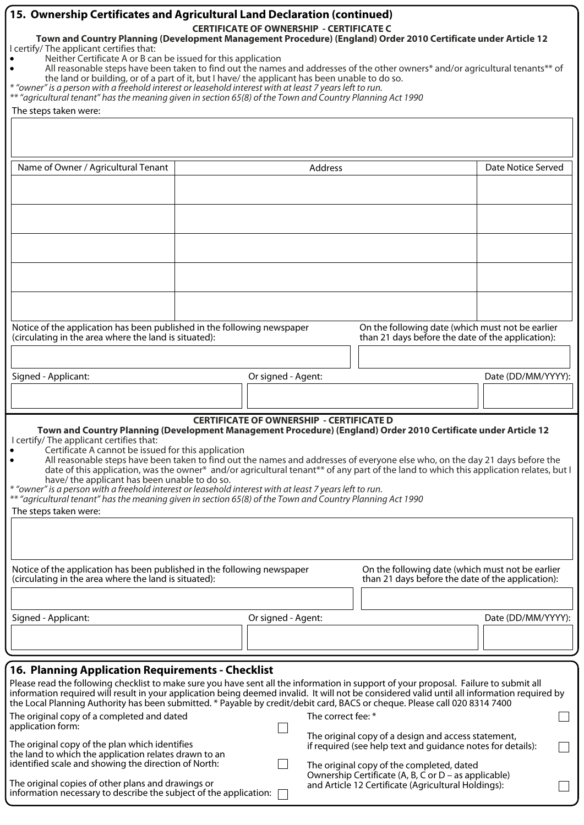|                                                                                                                                                                                                                                                                                                                                                                                                                                                                                                                                                                                                                                                                                                                                                                                                                                                  | 15. Ownership Certificates and Agricultural Land Declaration (continued)<br><b>CERTIFICATE OF OWNERSHIP - CERTIFICATE C</b><br>Town and Country Planning (Development Management Procedure) (England) Order 2010 Certificate under Article 12 |                    |                                                                                                       |                    |  |  |  |  |
|--------------------------------------------------------------------------------------------------------------------------------------------------------------------------------------------------------------------------------------------------------------------------------------------------------------------------------------------------------------------------------------------------------------------------------------------------------------------------------------------------------------------------------------------------------------------------------------------------------------------------------------------------------------------------------------------------------------------------------------------------------------------------------------------------------------------------------------------------|-----------------------------------------------------------------------------------------------------------------------------------------------------------------------------------------------------------------------------------------------|--------------------|-------------------------------------------------------------------------------------------------------|--------------------|--|--|--|--|
| I certify/ The applicant certifies that:<br>Neither Certificate A or B can be issued for this application<br>All reasonable steps have been taken to find out the names and addresses of the other owners* and/or agricultural tenants** of<br>the land or building, or of a part of it, but I have/ the applicant has been unable to do so.<br>* "owner" is a person with a freehold interest or leasehold interest with at least 7 years left to run.<br>** "agricultural tenant" has the meaning given in section 65(8) of the Town and Country Planning Act 1990<br>The steps taken were:                                                                                                                                                                                                                                                    |                                                                                                                                                                                                                                               |                    |                                                                                                       |                    |  |  |  |  |
|                                                                                                                                                                                                                                                                                                                                                                                                                                                                                                                                                                                                                                                                                                                                                                                                                                                  |                                                                                                                                                                                                                                               |                    |                                                                                                       |                    |  |  |  |  |
|                                                                                                                                                                                                                                                                                                                                                                                                                                                                                                                                                                                                                                                                                                                                                                                                                                                  |                                                                                                                                                                                                                                               |                    |                                                                                                       |                    |  |  |  |  |
| Name of Owner / Agricultural Tenant                                                                                                                                                                                                                                                                                                                                                                                                                                                                                                                                                                                                                                                                                                                                                                                                              | Date Notice Served<br>Address                                                                                                                                                                                                                 |                    |                                                                                                       |                    |  |  |  |  |
|                                                                                                                                                                                                                                                                                                                                                                                                                                                                                                                                                                                                                                                                                                                                                                                                                                                  |                                                                                                                                                                                                                                               |                    |                                                                                                       |                    |  |  |  |  |
|                                                                                                                                                                                                                                                                                                                                                                                                                                                                                                                                                                                                                                                                                                                                                                                                                                                  |                                                                                                                                                                                                                                               |                    |                                                                                                       |                    |  |  |  |  |
|                                                                                                                                                                                                                                                                                                                                                                                                                                                                                                                                                                                                                                                                                                                                                                                                                                                  |                                                                                                                                                                                                                                               |                    |                                                                                                       |                    |  |  |  |  |
|                                                                                                                                                                                                                                                                                                                                                                                                                                                                                                                                                                                                                                                                                                                                                                                                                                                  | Notice of the application has been published in the following newspaper<br>On the following date (which must not be earlier<br>than 21 days before the date of the application):<br>(circulating in the area where the land is situated):     |                    |                                                                                                       |                    |  |  |  |  |
| Signed - Applicant:                                                                                                                                                                                                                                                                                                                                                                                                                                                                                                                                                                                                                                                                                                                                                                                                                              |                                                                                                                                                                                                                                               | Or signed - Agent: |                                                                                                       | Date (DD/MM/YYYY): |  |  |  |  |
|                                                                                                                                                                                                                                                                                                                                                                                                                                                                                                                                                                                                                                                                                                                                                                                                                                                  |                                                                                                                                                                                                                                               |                    |                                                                                                       |                    |  |  |  |  |
| <b>CERTIFICATE OF OWNERSHIP - CERTIFICATE D</b><br>Town and Country Planning (Development Management Procedure) (England) Order 2010 Certificate under Article 12<br>I certify/ The applicant certifies that:<br>Certificate A cannot be issued for this application<br>All reasonable steps have been taken to find out the names and addresses of everyone else who, on the day 21 days before the<br>date of this application, was the owner* and/or agricultural tenant** of any part of the land to which this application relates, but I<br>have/ the applicant has been unable to do so.<br>* "owner" is a person with a freehold interest or leasehold interest with at least 7 years left to run.<br>** "agricultural tenant" has the meaning given in section 65(8) of the Town and Country Planning Act 1990<br>The steps taken were: |                                                                                                                                                                                                                                               |                    |                                                                                                       |                    |  |  |  |  |
| Notice of the application has been published in the following newspaper<br>(circulating in the area where the land is situated):                                                                                                                                                                                                                                                                                                                                                                                                                                                                                                                                                                                                                                                                                                                 |                                                                                                                                                                                                                                               |                    | On the following date (which must not be earlier<br>than 21 days before the date of the application): |                    |  |  |  |  |
|                                                                                                                                                                                                                                                                                                                                                                                                                                                                                                                                                                                                                                                                                                                                                                                                                                                  |                                                                                                                                                                                                                                               |                    |                                                                                                       |                    |  |  |  |  |
| Signed - Applicant:                                                                                                                                                                                                                                                                                                                                                                                                                                                                                                                                                                                                                                                                                                                                                                                                                              |                                                                                                                                                                                                                                               | Or signed - Agent: |                                                                                                       | Date (DD/MM/YYYY): |  |  |  |  |
|                                                                                                                                                                                                                                                                                                                                                                                                                                                                                                                                                                                                                                                                                                                                                                                                                                                  |                                                                                                                                                                                                                                               |                    |                                                                                                       |                    |  |  |  |  |
| <b>16. Planning Application Requirements - Checklist</b>                                                                                                                                                                                                                                                                                                                                                                                                                                                                                                                                                                                                                                                                                                                                                                                         |                                                                                                                                                                                                                                               |                    |                                                                                                       |                    |  |  |  |  |
| Please read the following checklist to make sure you have sent all the information in support of your proposal. Failure to submit all<br>information required will result in your application being deemed invalid. It will not be considered valid until all information required by<br>the Local Planning Authority has been submitted. * Payable by credit/debit card, BACS or cheque. Please call 020 8314 7400                                                                                                                                                                                                                                                                                                                                                                                                                              |                                                                                                                                                                                                                                               |                    |                                                                                                       |                    |  |  |  |  |
| The original copy of a completed and dated<br>application form:                                                                                                                                                                                                                                                                                                                                                                                                                                                                                                                                                                                                                                                                                                                                                                                  |                                                                                                                                                                                                                                               | The correct fee: * |                                                                                                       |                    |  |  |  |  |
| The original copy of a design and access statement,<br>The original copy of the plan which identifies<br>if required (see help text and guidance notes for details):<br>the land to which the application relates drawn to an<br>identified scale and showing the direction of North:<br>The original copy of the completed, dated                                                                                                                                                                                                                                                                                                                                                                                                                                                                                                               |                                                                                                                                                                                                                                               |                    |                                                                                                       |                    |  |  |  |  |
| Ownership Certificate (A, B, C or D – as applicable)<br>The original copies of other plans and drawings or<br>and Article 12 Certificate (Agricultural Holdings):<br>information necessary to describe the subject of the application:                                                                                                                                                                                                                                                                                                                                                                                                                                                                                                                                                                                                           |                                                                                                                                                                                                                                               |                    |                                                                                                       |                    |  |  |  |  |